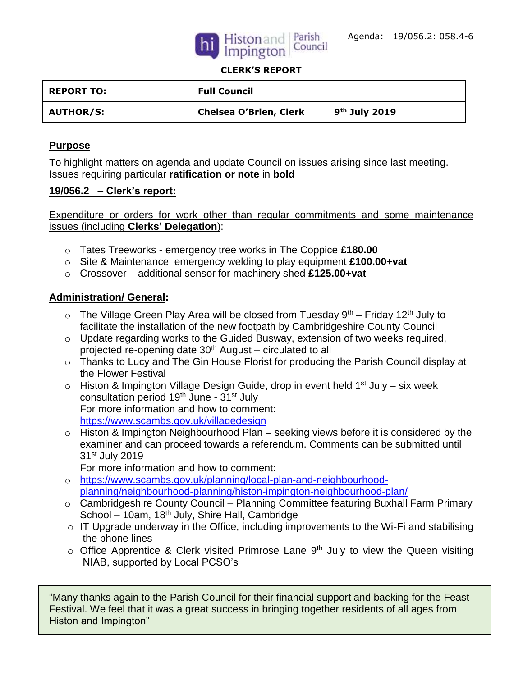



#### **CLERK'S REPORT**

| <b>REPORT TO:</b> | <b>Full Council</b>           |                 |
|-------------------|-------------------------------|-----------------|
| <b>AUTHOR/S:</b>  | <b>Chelsea O'Brien, Clerk</b> | $9th$ July 2019 |

### **Purpose**

To highlight matters on agenda and update Council on issues arising since last meeting. Issues requiring particular **ratification or note** in **bold**

#### **19/056.2 – Clerk's report:**

Expenditure or orders for work other than regular commitments and some maintenance issues (including **Clerks' Delegation**):

- o Tates Treeworks emergency tree works in The Coppice **£180.00**
- o Site & Maintenance emergency welding to play equipment **£100.00+vat**
- o Crossover additional sensor for machinery shed **£125.00+vat**

### **Administration/ General:**

- $\circ$  The Village Green Play Area will be closed from Tuesday 9<sup>th</sup> Friday 12<sup>th</sup> July to facilitate the installation of the new footpath by Cambridgeshire County Council
- o Update regarding works to the Guided Busway, extension of two weeks required, projected re-opening date  $30<sup>th</sup>$  August – circulated to all
- o Thanks to Lucy and The Gin House Florist for producing the Parish Council display at the Flower Festival
- $\circ$  Histon & Impington Village Design Guide, drop in event held 1<sup>st</sup> July six week consultation period 19<sup>th</sup> June - 31<sup>st</sup> July For more information and how to comment: <https://www.scambs.gov.uk/villagedesign>
- o Histon & Impington Neighbourhood Plan seeking views before it is considered by the examiner and can proceed towards a referendum. Comments can be submitted until 31st July 2019

For more information and how to comment:

- o [https://www.scambs.gov.uk/planning/local-plan-and-neighbourhood](https://www.scambs.gov.uk/planning/local-plan-and-neighbourhood-planning/neighbourhood-planning/histon-impington-neighbourhood-plan/)[planning/neighbourhood-planning/histon-impington-neighbourhood-plan/](https://www.scambs.gov.uk/planning/local-plan-and-neighbourhood-planning/neighbourhood-planning/histon-impington-neighbourhood-plan/)
- o Cambridgeshire County Council Planning Committee featuring Buxhall Farm Primary School – 10am, 18<sup>th</sup> July, Shire Hall, Cambridge
- $\circ$  IT Upgrade underway in the Office, including improvements to the Wi-Fi and stabilising the phone lines
- $\circ$  Office Apprentice & Clerk visited Primrose Lane 9<sup>th</sup> July to view the Queen visiting NIAB, supported by Local PCSO's

"Many thanks again to the Parish Council for their financial support and backing for the Feast Festival. We feel that it was a great success in bringing together residents of all ages from Histon and Impington"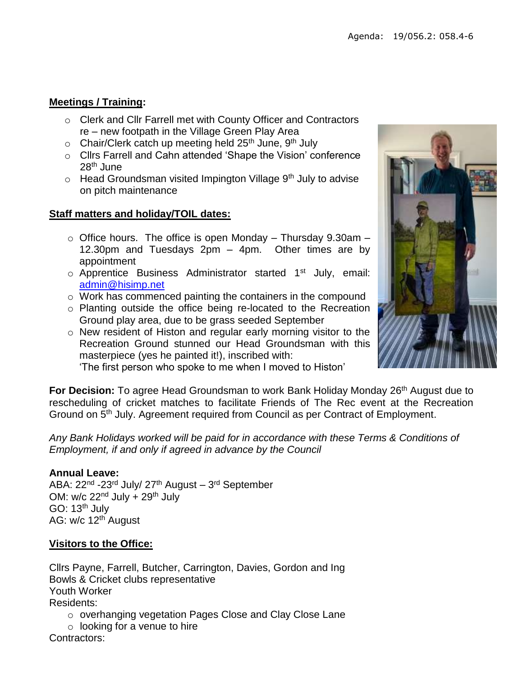## **Meetings / Training:**

- o Clerk and Cllr Farrell met with County Officer and Contractors re – new footpath in the Village Green Play Area
- $\circ$  Chair/Clerk catch up meeting held 25<sup>th</sup> June, 9<sup>th</sup> July
- o Cllrs Farrell and Cahn attended 'Shape the Vision' conference 28th June
- $\circ$  Head Groundsman visited Impington Village 9<sup>th</sup> July to advise on pitch maintenance

### **Staff matters and holiday/TOIL dates:**

- $\circ$  Office hours. The office is open Monday Thursday 9.30am 12.30pm and Tuesdays 2pm – 4pm. Other times are by appointment
- $\circ$  Apprentice Business Administrator started 1<sup>st</sup> July, email: [admin@hisimp.net](mailto:admin@hisimp.net)
- o Work has commenced painting the containers in the compound
- o Planting outside the office being re-located to the Recreation Ground play area, due to be grass seeded September
- o New resident of Histon and regular early morning visitor to the Recreation Ground stunned our Head Groundsman with this masterpiece (yes he painted it!), inscribed with:

'The first person who spoke to me when I moved to Histon'

**For Decision:** To agree Head Groundsman to work Bank Holiday Monday 26<sup>th</sup> August due to rescheduling of cricket matches to facilitate Friends of The Rec event at the Recreation Ground on 5th July. Agreement required from Council as per Contract of Employment.

*Any Bank Holidays worked will be paid for in accordance with these Terms & Conditions of Employment, if and only if agreed in advance by the Council*

### **Annual Leave:**

ABA: 22<sup>nd</sup> -23<sup>rd</sup> July/ 27<sup>th</sup> August – 3<sup>rd</sup> September OM:  $w/c$  22<sup>nd</sup> July + 29<sup>th</sup> July GO: 13<sup>th</sup> July AG: w/c 12<sup>th</sup> August

## **Visitors to the Office:**

Cllrs Payne, Farrell, Butcher, Carrington, Davies, Gordon and Ing Bowls & Cricket clubs representative Youth Worker Residents: o overhanging vegetation Pages Close and Clay Close Lane

 $\circ$  looking for a venue to hire Contractors:

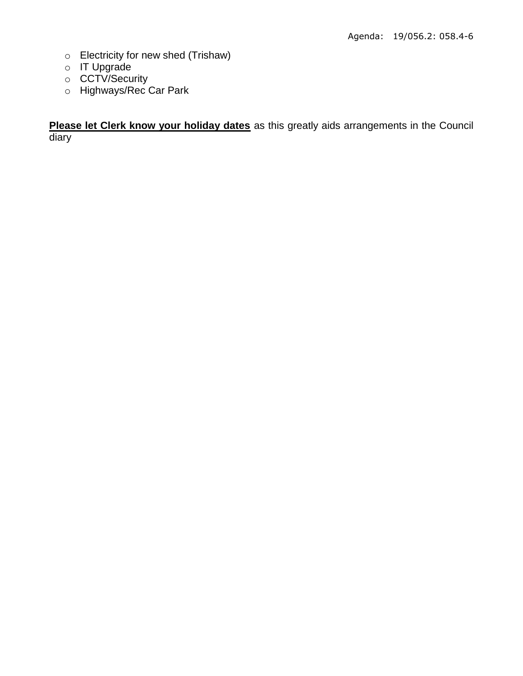- o Electricity for new shed (Trishaw)
- o IT Upgrade
- o CCTV/Security
- o Highways/Rec Car Park

**Please let Clerk know your holiday dates** as this greatly aids arrangements in the Council diary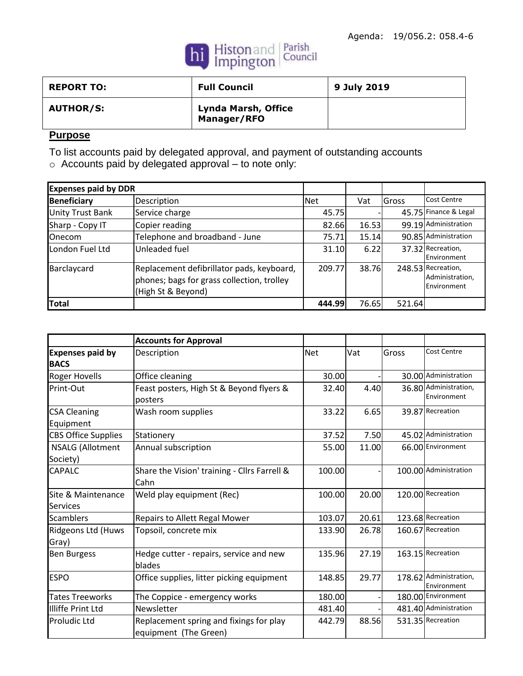

| <b>REPORT TO:</b> | <b>Full Council</b>                | 9 July 2019 |
|-------------------|------------------------------------|-------------|
| <b>AUTHOR/S:</b>  | Lynda Marsh, Office<br>Manager/RFO |             |

# **Purpose**

To list accounts paid by delegated approval, and payment of outstanding accounts

o Accounts paid by delegated approval – to note only:

| <b>Expenses paid by DDR</b> |                                                                                                               |        |       |        |                                                      |
|-----------------------------|---------------------------------------------------------------------------------------------------------------|--------|-------|--------|------------------------------------------------------|
| <b>Beneficiary</b>          | Description                                                                                                   | Net    | Vat   | Gross  | Cost Centre                                          |
| Unity Trust Bank            | Service charge                                                                                                | 45.75  |       |        | 45.75 Finance & Legal                                |
| Sharp - Copy IT             | Copier reading                                                                                                | 82.66  | 16.53 |        | 99.19 Administration                                 |
| <b>Onecom</b>               | Telephone and broadband - June                                                                                | 75.71  | 15.14 |        | 90.85 Administration                                 |
| London Fuel Ltd             | Unleaded fuel                                                                                                 | 31.10  | 6.22  |        | 37.32 Recreation,<br>Environment                     |
| Barclaycard                 | Replacement defibrillator pads, keyboard,<br>phones; bags for grass collection, trolley<br>(High St & Beyond) | 209.77 | 38.76 |        | 248.53 Recreation,<br>Administration,<br>Environment |
| Total                       |                                                                                                               | 444.99 | 76.65 | 521.64 |                                                      |

|                                        | <b>Accounts for Approval</b>                                     |            |       |       |                                       |
|----------------------------------------|------------------------------------------------------------------|------------|-------|-------|---------------------------------------|
| <b>Expenses paid by</b><br><b>BACS</b> | Description                                                      | <b>Net</b> | Vat   | Gross | Cost Centre                           |
| <b>Roger Hovells</b>                   | Office cleaning                                                  | 30.00      |       |       | 30.00 Administration                  |
| Print-Out                              | Feast posters, High St & Beyond flyers &<br>posters              | 32.40      | 4.40  |       | 36.80 Administration,<br>Environment  |
| <b>CSA Cleaning</b><br>Equipment       | Wash room supplies                                               | 33.22      | 6.65  |       | 39.87 Recreation                      |
| <b>CBS Office Supplies</b>             | Stationery                                                       | 37.52      | 7.50  |       | 45.02 Administration                  |
| <b>NSALG (Allotment</b><br>Society)    | Annual subscription                                              | 55.00      | 11.00 |       | 66.00 Environment                     |
| CAPALC                                 | Share the Vision' training - Cllrs Farrell &<br>Cahn             | 100.00     |       |       | 100.00 Administration                 |
| Site & Maintenance<br><b>Services</b>  | Weld play equipment (Rec)                                        | 100.00     | 20.00 |       | 120.00 Recreation                     |
| <b>Scamblers</b>                       | Repairs to Allett Regal Mower                                    | 103.07     | 20.61 |       | 123.68 Recreation                     |
| Ridgeons Ltd (Huws<br>Gray)            | Topsoil, concrete mix                                            | 133.90     | 26.78 |       | 160.67 Recreation                     |
| <b>Ben Burgess</b>                     | Hedge cutter - repairs, service and new<br>blades                | 135.96     | 27.19 |       | 163.15 Recreation                     |
| <b>ESPO</b>                            | Office supplies, litter picking equipment                        | 148.85     | 29.77 |       | 178.62 Administration,<br>Environment |
| <b>Tates Treeworks</b>                 | The Coppice - emergency works                                    | 180.00     |       |       | 180.00 Environment                    |
| <b>Illiffe Print Ltd</b>               | Newsletter                                                       | 481.40     |       |       | 481.40 Administration                 |
| <b>Proludic Ltd</b>                    | Replacement spring and fixings for play<br>equipment (The Green) | 442.79     | 88.56 |       | 531.35 Recreation                     |